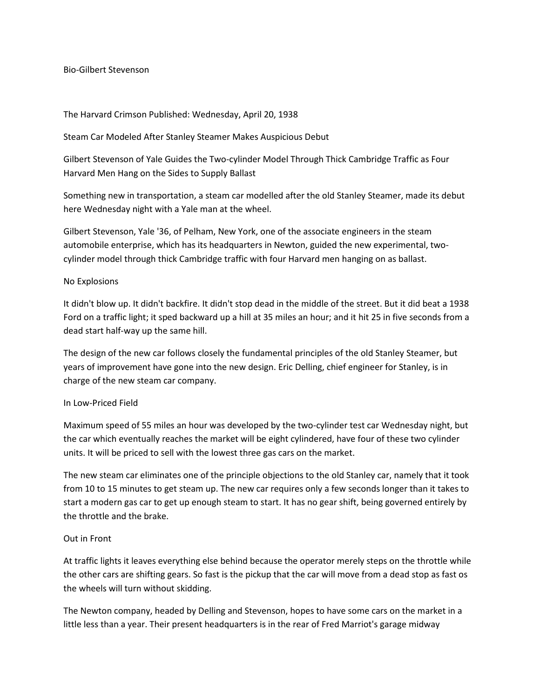Bio-Gilbert Stevenson

# The Harvard Crimson Published: Wednesday, April 20, 1938

# Steam Car Modeled After Stanley Steamer Makes Auspicious Debut

Gilbert Stevenson of Yale Guides the Two-cylinder Model Through Thick Cambridge Traffic as Four Harvard Men Hang on the Sides to Supply Ballast

Something new in transportation, a steam car modelled after the old Stanley Steamer, made its debut here Wednesday night with a Yale man at the wheel.

Gilbert Stevenson, Yale '36, of Pelham, New York, one of the associate engineers in the steam automobile enterprise, which has its headquarters in Newton, guided the new experimental, twocylinder model through thick Cambridge traffic with four Harvard men hanging on as ballast.

# No Explosions

It didn't blow up. It didn't backfire. It didn't stop dead in the middle of the street. But it did beat a 1938 Ford on a traffic light; it sped backward up a hill at 35 miles an hour; and it hit 25 in five seconds from a dead start half-way up the same hill.

The design of the new car follows closely the fundamental principles of the old Stanley Steamer, but years of improvement have gone into the new design. Eric Delling, chief engineer for Stanley, is in charge of the new steam car company.

## In Low-Priced Field

Maximum speed of 55 miles an hour was developed by the two-cylinder test car Wednesday night, but the car which eventually reaches the market will be eight cylindered, have four of these two cylinder units. It will be priced to sell with the lowest three gas cars on the market.

The new steam car eliminates one of the principle objections to the old Stanley car, namely that it took from 10 to 15 minutes to get steam up. The new car requires only a few seconds longer than it takes to start a modern gas car to get up enough steam to start. It has no gear shift, being governed entirely by the throttle and the brake.

## Out in Front

At traffic lights it leaves everything else behind because the operator merely steps on the throttle while the other cars are shifting gears. So fast is the pickup that the car will move from a dead stop as fast os the wheels will turn without skidding.

The Newton company, headed by Delling and Stevenson, hopes to have some cars on the market in a little less than a year. Their present headquarters is in the rear of Fred Marriot's garage midway